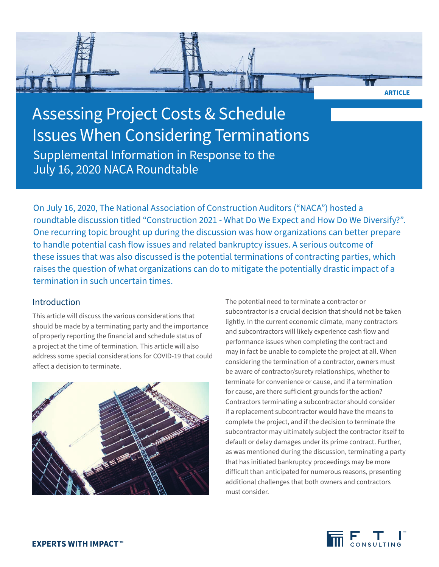

On July 16, 2020, The National Association of Construction Auditors ("NACA") hosted a roundtable discussion titled "Construction 2021 - What Do We Expect and How Do We Diversify?". One recurring topic brought up during the discussion was how organizations can better prepare to handle potential cash flow issues and related bankruptcy issues. A serious outcome of these issues that was also discussed is the potential terminations of contracting parties, which raises the question of what organizations can do to mitigate the potentially drastic impact of a termination in such uncertain times.

# Introduction

This article will discuss the various considerations that should be made by a terminating party and the importance of properly reporting the financial and schedule status of a project at the time of termination. This article will also address some special considerations for COVID-19 that could affect a decision to terminate.



The potential need to terminate a contractor or subcontractor is a crucial decision that should not be taken lightly. In the current economic climate, many contractors and subcontractors will likely experience cash flow and performance issues when completing the contract and may in fact be unable to complete the project at all. When considering the termination of a contractor, owners must be aware of contractor/surety relationships, whether to terminate for convenience or cause, and if a termination for cause, are there sufficient grounds for the action? Contractors terminating a subcontractor should consider if a replacement subcontractor would have the means to complete the project, and if the decision to terminate the subcontractor may ultimately subject the contractor itself to default or delay damages under its prime contract. Further, as was mentioned during the discussion, terminating a party that has initiated bankruptcy proceedings may be more difficult than anticipated for numerous reasons, presenting additional challenges that both owners and contractors must consider.



**ARTICLE**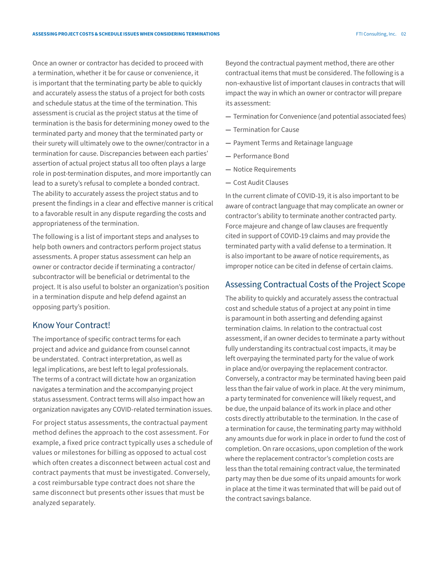Once an owner or contractor has decided to proceed with a termination, whether it be for cause or convenience, it is important that the terminating party be able to quickly and accurately assess the status of a project for both costs and schedule status at the time of the termination. This assessment is crucial as the project status at the time of termination is the basis for determining money owed to the terminated party and money that the terminated party or their surety will ultimately owe to the owner/contractor in a termination for cause. Discrepancies between each parties' assertion of actual project status all too often plays a large role in post-termination disputes, and more importantly can lead to a surety's refusal to complete a bonded contract. The ability to accurately assess the project status and to present the findings in a clear and effective manner is critical to a favorable result in any dispute regarding the costs and appropriateness of the termination.

The following is a list of important steps and analyses to help both owners and contractors perform project status assessments. A proper status assessment can help an owner or contractor decide if terminating a contractor/ subcontractor will be beneficial or detrimental to the project. It is also useful to bolster an organization's position in a termination dispute and help defend against an opposing party's position.

## Know Your Contract!

The importance of specific contract terms for each project and advice and guidance from counsel cannot be understated. Contract interpretation, as well as legal implications, are best left to legal professionals. The terms of a contract will dictate how an organization navigates a termination and the accompanying project status assessment. Contract terms will also impact how an organization navigates any COVID-related termination issues.

For project status assessments, the contractual payment method defines the approach to the cost assessment. For example, a fixed price contract typically uses a schedule of values or milestones for billing as opposed to actual cost which often creates a disconnect between actual cost and contract payments that must be investigated. Conversely, a cost reimbursable type contract does not share the same disconnect but presents other issues that must be analyzed separately.

Beyond the contractual payment method, there are other contractual items that must be considered. The following is a non-exhaustive list of important clauses in contracts that will impact the way in which an owner or contractor will prepare its assessment:

- **—** Termination for Convenience (and potential associated fees)
- **—** Termination for Cause
- **—** Payment Terms and Retainage language
- **—** Performance Bond
- **—** Notice Requirements
- **—** Cost Audit Clauses

In the current climate of COVID-19, it is also important to be aware of contract language that may complicate an owner or contractor's ability to terminate another contracted party. Force majeure and change of law clauses are frequently cited in support of COVID-19 claims and may provide the terminated party with a valid defense to a termination. It is also important to be aware of notice requirements, as improper notice can be cited in defense of certain claims.

## Assessing Contractual Costs of the Project Scope

The ability to quickly and accurately assess the contractual cost and schedule status of a project at any point in time is paramount in both asserting and defending against termination claims. In relation to the contractual cost assessment, if an owner decides to terminate a party without fully understanding its contractual cost impacts, it may be left overpaying the terminated party for the value of work in place and/or overpaying the replacement contractor. Conversely, a contractor may be terminated having been paid less than the fair value of work in place. At the very minimum, a party terminated for convenience will likely request, and be due, the unpaid balance of its work in place and other costs directly attributable to the termination. In the case of a termination for cause, the terminating party may withhold any amounts due for work in place in order to fund the cost of completion. On rare occasions, upon completion of the work where the replacement contractor's completion costs are less than the total remaining contract value, the terminated party may then be due some of its unpaid amounts for work in place at the time it was terminated that will be paid out of the contract savings balance.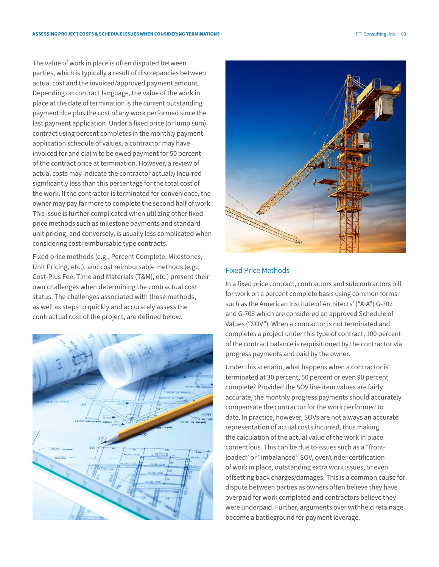The value of work in place is often disputed between parties, which is typically a result of discrepancies between actual cost and the invoiced/approved payment amount. Depending on contract language, the value of the work in place at the date of termination is the current outstanding payment due plus the cost of any work performed since the last payment application. Under a fixed price (or lump sum) contract using percent completes in the monthly payment application schedule of values, a contractor may have invoiced for and claim to be owed payment for 50 percent of the contract price at termination. However, a review of actual costs may indicate the contractor actually incurred significantly less than this percentage for the total cost of the work. If the contractor is terminated for convenience, the owner may pay far more to complete the second half of work. This issue is further complicated when utilizing other fixed price methods such as milestone payments and standard unit pricing, and conversely, is usually less complicated when considering cost reimbursable type contracts.

Fixed price methods (e.g., Percent Complete, Milestones, Unit Pricing, etc.), and cost reimbursable methods (e.g., Cost-Plus Fee, Time and Materials (T&M), etc.) present their own challenges when determining the contractual cost status. The challenges associated with these methods, as well as steps to quickly and accurately assess the contractual cost of the project, are defined below.





#### Fixed Price Methods

In a fixed price contract, contractors and subcontractors bill for work on a percent complete basis using common forms such as the American Institute of Architects' ("AIA") G-702 and G-703 which are considered an approved Schedule of Values ("SOV"). When a contractor is not terminated and completes a project under this type of contract, 100 percent of the contract balance is requisitioned by the contractor via progress payments and paid by the owner.

Under this scenario, what happens when a contractor is terminated at 30 percent, 50 percent or even 90 percent complete? Provided the SOV line item values are fairly accurate, the monthly progress payments should accurately compensate the contractor for the work performed to date. In practice, however, SOVs are not always an accurate representation of actual costs incurred, thus making the calculation of the actual value of the work in place contentious. This can be due to issues such as a "frontloaded" or "imbalanced" SOV, over/under certification of work in place, outstanding extra work issues, or even offsetting back charges/damages. This is a common cause for dispute between parties as owners often believe they have overpaid for work completed and contractors believe they were underpaid. Further, arguments over withheld retainage become a battleground for payment leverage.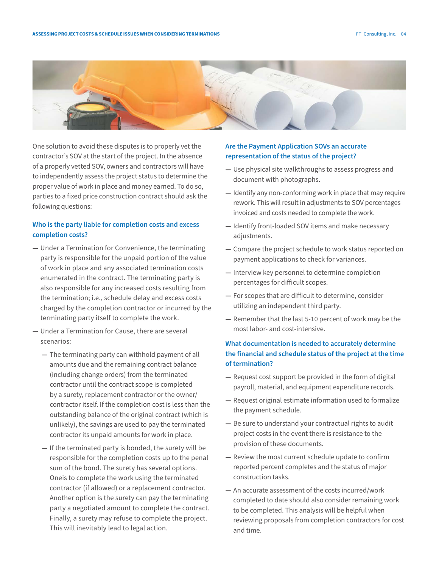

One solution to avoid these disputes is to properly vet the contractor's SOV at the start of the project. In the absence of a properly vetted SOV, owners and contractors will have to independently assess the project status to determine the proper value of work in place and money earned. To do so, parties to a fixed price construction contract should ask the following questions:

#### **Who is the party liable for completion costs and excess completion costs?**

- **—** Under a Termination for Convenience, the terminating party is responsible for the unpaid portion of the value of work in place and any associated termination costs enumerated in the contract. The terminating party is also responsible for any increased costs resulting from the termination; i.e., schedule delay and excess costs charged by the completion contractor or incurred by the terminating party itself to complete the work.
- **—** Under a Termination for Cause, there are several scenarios:
	- **—** The terminating party can withhold payment of all amounts due and the remaining contract balance (including change orders) from the terminated contractor until the contract scope is completed by a surety, replacement contractor or the owner/ contractor itself. If the completion cost is less than the outstanding balance of the original contract (which is unlikely), the savings are used to pay the terminated contractor its unpaid amounts for work in place.
	- **—** If the terminated party is bonded, the surety will be responsible for the completion costs up to the penal sum of the bond. The surety has several options. Oneis to complete the work using the terminated contractor (if allowed) or a replacement contractor. Another option is the surety can pay the terminating party a negotiated amount to complete the contract. Finally, a surety may refuse to complete the project. This will inevitably lead to legal action.

## **Are the Payment Application SOVs an accurate representation of the status of the project?**

- **—** Use physical site walkthroughs to assess progress and document with photographs.
- **—** Identify any non-conforming work in place that may require rework. This will result in adjustments to SOV percentages invoiced and costs needed to complete the work.
- **—** Identify front-loaded SOV items and make necessary adjustments.
- **—** Compare the project schedule to work status reported on payment applications to check for variances.
- **—** Interview key personnel to determine completion percentages for difficult scopes.
- **—** For scopes that are difficult to determine, consider utilizing an independent third party.
- **—** Remember that the last 5-10 percent of work may be the most labor- and cost-intensive.

## **What documentation is needed to accurately determine the financial and schedule status of the project at the time of termination?**

- **—** Request cost support be provided in the form of digital payroll, material, and equipment expenditure records.
- **—** Request original estimate information used to formalize the payment schedule.
- **—** Be sure to understand your contractual rights to audit project costs in the event there is resistance to the provision of these documents.
- **—** Review the most current schedule update to confirm reported percent completes and the status of major construction tasks.
- **—** An accurate assessment of the costs incurred/work completed to date should also consider remaining work to be completed. This analysis will be helpful when reviewing proposals from completion contractors for cost and time.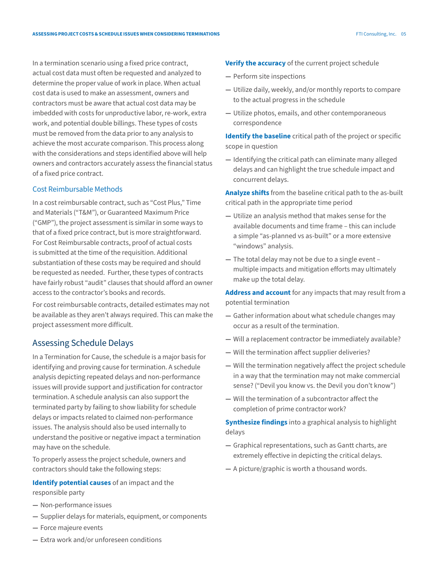In a termination scenario using a fixed price contract, actual cost data must often be requested and analyzed to determine the proper value of work in place. When actual cost data is used to make an assessment, owners and contractors must be aware that actual cost data may be imbedded with costs for unproductive labor, re-work, extra work, and potential double billings. These types of costs must be removed from the data prior to any analysis to achieve the most accurate comparison. This process along with the considerations and steps identified above will help owners and contractors accurately assess the financial status of a fixed price contract.

#### Cost Reimbursable Methods

In a cost reimbursable contract, such as "Cost Plus," Time and Materials ("T&M"), or Guaranteed Maximum Price ("GMP"), the project assessment is similar in some ways to that of a fixed price contract, but is more straightforward. For Cost Reimbursable contracts, proof of actual costs is submitted at the time of the requisition. Additional substantiation of these costs may be required and should be requested as needed. Further, these types of contracts have fairly robust "audit" clauses that should afford an owner access to the contractor's books and records.

For cost reimbursable contracts, detailed estimates may not be available as they aren't always required. This can make the project assessment more difficult.

## Assessing Schedule Delays

In a Termination for Cause, the schedule is a major basis for identifying and proving cause for termination. A schedule analysis depicting repeated delays and non-performance issues will provide support and justification for contractor termination. A schedule analysis can also support the terminated party by failing to show liability for schedule delays or impacts related to claimed non-performance issues. The analysis should also be used internally to understand the positive or negative impact a termination may have on the schedule.

To properly assess the project schedule, owners and contractors should take the following steps:

## **Identify potential causes** of an impact and the responsible party

- 
- **—** Non-performance issues
- **—** Supplier delays for materials, equipment, or components
- **—** Force majeure events

**—** Will a replacement contractor be immediately available?

**—** Gather information about what schedule changes may

**—** Will the termination affect supplier deliveries?

occur as a result of the termination.

- **—** Will the termination negatively affect the project schedule in a way that the termination may not make commercial sense? ("Devil you know vs. the Devil you don't know")
- **—** Will the termination of a subcontractor affect the completion of prime contractor work?

**Synthesize findings** into a graphical analysis to highlight delays

- **—** Graphical representations, such as Gantt charts, are extremely effective in depicting the critical delays.
- **—** A picture/graphic is worth a thousand words.

**—** Extra work and/or unforeseen conditions

#### **Verify the accuracy** of the current project schedule

- **—** Perform site inspections
- **—** Utilize daily, weekly, and/or monthly reports to compare to the actual progress in the schedule
- **—** Utilize photos, emails, and other contemporaneous correspondence

**Identify the baseline** critical path of the project or specific scope in question

**—** Identifying the critical path can eliminate many alleged delays and can highlight the true schedule impact and concurrent delays.

**Analyze shifts** from the baseline critical path to the as-built critical path in the appropriate time period

- **—** Utilize an analysis method that makes sense for the available documents and time frame – this can include a simple "as-planned vs as-built" or a more extensive "windows" analysis.
- **—** The total delay may not be due to a single event multiple impacts and mitigation efforts may ultimately make up the total delay.

**Address and account** for any impacts that may result from a potential termination